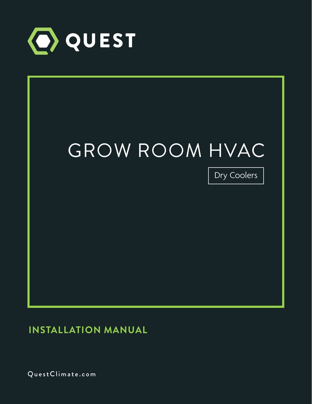



**INSTALLATION MANUAL**

QuestClimate.com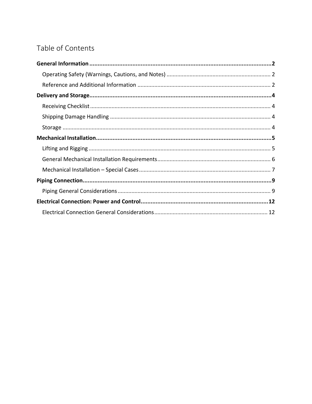# Table of Contents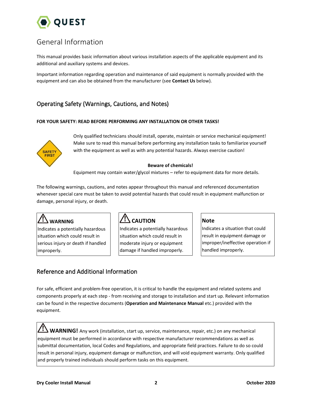

# <span id="page-2-0"></span>General Information

This manual provides basic information about various installation aspects of the applicable equipment and its additional and auxiliary systems and devices.

Important information regarding operation and maintenance of said equipment is normally provided with the equipment and can also be obtained from the manufacturer (see **Contact Us** below).

# <span id="page-2-1"></span>Operating Safety (Warnings, Cautions, and Notes)

#### **FOR YOUR SAFETY: READ BEFORE PERFORMING ANY INSTALLATION OR OTHER TASKS!**



Only qualified technicians should install, operate, maintain or service mechanical equipment! Make sure to read this manual before performing any installation tasks to familiarize yourself with the equipment as well as with any potential hazards. Always exercise caution!

#### **Beware of chemicals!**

Equipment may contain water/glycol mixtures  $-$  refer to equipment data for more details.

The following warnings, cautions, and notes appear throughout this manual and referenced documentation whenever special care must be taken to avoid potential hazards that could result in equipment malfunction or damage, personal injury, or death.

# **WARNING**

Indicates a potentially hazardous situation which could result in serious injury or death if handled improperly.

# **CAUTION**

Indicates a potentially hazardous situation which could result in moderate injury or equipment damage if handled improperly.

#### **Note**

Indicates a situation that could result in equipment damage or improper/ineffective operation if handled improperly.

## <span id="page-2-2"></span>Reference and Additional Information

For safe, efficient and problem-free operation, it is critical to handle the equipment and related systems and components properly at each step - from receiving and storage to installation and start up. Relevant information can be found in the respective documents (**Operation and Maintenance Manual** etc.) provided with the equipment.

**WARNING!** Any work (installation, start up, service, maintenance, repair, etc.) on any mechanical equipment must be performed in accordance with respective manufacturer recommendations as well as submittal documentation, local Codes and Regulations, and appropriate field practices. Failure to do so could result in personal injury, equipment damage or malfunction, and will void equipment warranty. Only qualified and properly trained individuals should perform tasks on this equipment.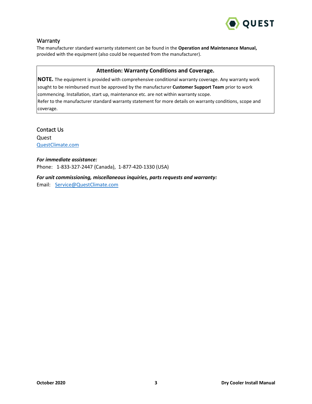

### **Warranty**

The manufacturer standard warranty statement can be found in the **Operation and Maintenance Manual,** provided with the equipment (also could be requested from the manufacturer).

#### **Attention: Warranty Conditions and Coverage.**

**NOTE.** The equipment is provided with comprehensive conditional warranty coverage. Any warranty work sought to be reimbursed must be approved by the manufacturer **Customer Support Team** prior to work commencing. Installation, start up, maintenance etc. are not within warranty scope. Refer to the manufacturer standard warranty statement for more details on warranty conditions, scope and coverage.

Contact Us

Quest [QuestClimate.com](http://questclimate.com/)

#### *For immediate assistance:*

Phone: 1-833-327-2447 (Canada), 1-877-420-1330 (USA)

### *For unit commissioning, miscellaneous inquiries, parts requests and warranty:*

Email: [Service@QuestClimate.com](mailto:Service@QuestClimate.com)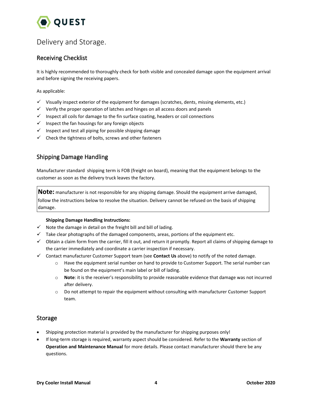

# <span id="page-4-0"></span>Delivery and Storage.

# <span id="page-4-1"></span>Receiving Checklist

It is highly recommended to thoroughly check for both visible and concealed damage upon the equipment arrival and before signing the receiving papers.

#### As applicable:

- $\checkmark$  Visually inspect exterior of the equipment for damages (scratches, dents, missing elements, etc.)
- $\checkmark$  Verify the proper operation of latches and hinges on all access doors and panels
- $\checkmark$  Inspect all coils for damage to the fin surface coating, headers or coil connections
- $\checkmark$  Inspect the fan housings for any foreign objects
- $\checkmark$  Inspect and test all piping for possible shipping damage
- $\checkmark$  Check the tightness of bolts, screws and other fasteners

## <span id="page-4-2"></span>Shipping Damage Handling

Manufacturer standard shipping term is FOB (freight on board), meaning that the equipment belongs to the customer as soon as the delivery truck leaves the factory.

**Note:** manufacturer is not responsible for any shipping damage. Should the equipment arrive damaged, follow the instructions below to resolve the situation. Delivery cannot be refused on the basis of shipping damage.

#### **Shipping Damage Handling Instructions:**

- $\checkmark$  Note the damage in detail on the freight bill and bill of lading.
- $\checkmark$  Take clear photographs of the damaged components, areas, portions of the equipment etc.
- $\checkmark$  Obtain a claim form from the carrier, fill it out, and return it promptly. Report all claims of shipping damage to the carrier immediately and coordinate a carrier inspection if necessary.
- Contact manufacturer Customer Support team (see **Contact Us** above) to notify of the noted damage.
	- o Have the equipment serial number on hand to provide to Customer Support. The serial number can be found on the equipment's main label or bill of lading.
	- o **Note**: it is the receiver's responsibility to provide reasonable evidence that damage was not incurred after delivery.
	- o Do not attempt to repair the equipment without consulting with manufacturer Customer Support team.

### <span id="page-4-3"></span>Storage

- Shipping protection material is provided by the manufacturer for shipping purposes only!
- If long-term storage is required, warranty aspect should be considered. Refer to the **Warranty** section of **Operation and Maintenance Manual** for more details. Please contact manufacturer should there be any questions.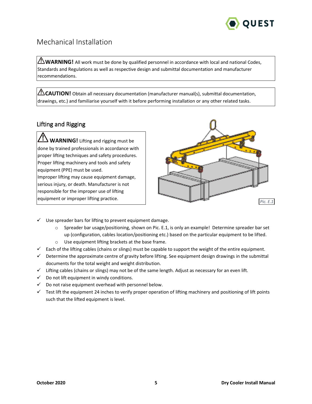

# <span id="page-5-0"></span>Mechanical Installation

 $\triangle$  **WARNING!** All work must be done by qualified personnel in accordance with local and national Codes, Standards and Regulations as well as respective design and submittal documentation and manufacturer recommendations.

**CAUTION!** Obtain all necessary documentation (manufacturer manual(s), submittal documentation, drawings, etc.) and familiarise yourself with it before performing installation or any other related tasks.

# <span id="page-5-1"></span>Lifting and Rigging

**WARNING!** Lifting and rigging must be done by trained professionals in accordance with proper lifting techniques and safety procedures. Proper lifting machinery and tools and safety equipment (PPE) must be used.

Improper lifting may cause equipment damage, serious injury, or death. Manufacturer is not responsible for the improper use of lifting equipment or improper lifting practice.



- $\checkmark$  Use spreader bars for lifting to prevent equipment damage.
	- o Spreader bar usage/positioning, shown on Pic. E.1, is only an example! Determine spreader bar set up (configuration, cables location/positioning etc.) based on the particular equipment to be lifted.
	- o Use equipment lifting brackets at the base frame.
- $\checkmark$  Each of the lifting cables (chains or slings) must be capable to support the weight of the entire equipment.
- $\checkmark$  Determine the approximate centre of gravity before lifting. See equipment design drawings in the submittal documents for the total weight and weight distribution.
- $\checkmark$  Lifting cables (chains or slings) may not be of the same length. Adjust as necessary for an even lift.
- $\checkmark$  Do not lift equipment in windy conditions.
- $\checkmark$  Do not raise equipment overhead with personnel below.
- $\checkmark$  Test lift the equipment 24 inches to verify proper operation of lifting machinery and positioning of lift points such that the lifted equipment is level.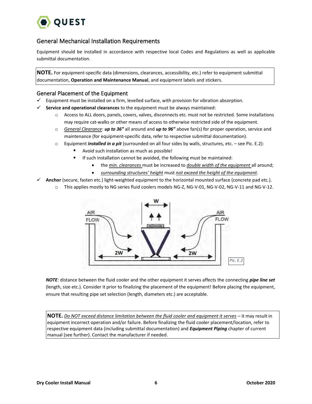

## <span id="page-6-0"></span>General Mechanical Installation Requirements

Equipment should be installed in accordance with respective local Codes and Regulations as well as applicable submittal documentation.

**NOTE.** For equipment-specific data (dimensions, clearances, accessibility, etc.) refer to equipment submittal documentation, **Operation and Maintenance Manual**, and equipment labels and stickers.

### General Placement of the Equipment

- $\checkmark$  Equipment must be installed on a firm, levelled surface, with provision for vibration absorption.
- **Service and operational clearances** to the equipment must be always maintained:
	- o Access to ALL doors, panels, covers, valves, disconnects etc. must not be restricted. Some installations may require cat-walks or other means of access to otherwise restricted side of the equipment.
	- o *General Clearance*: *up to 36"* all around and *up to 96"* above fan(s) for proper operation, service and maintenance (for equipment-specific data, refer to respective submittal documentation).
	- o Equipment *installed in a pit* (surrounded on all four sides by walls, structures, etc. see Pic. E.2):
		- Avoid such installation as much as possible!
			- If such installation cannot be avoided, the following must be maintained:
				- the *min. clearances* must be increased to *double width of the equipment* all around;
				- *surrounding structures' height* must *not exceed the height of the equipment*.
- **Anchor** (secure, fasten etc.) light-weighted equipment to the horizontal mounted surface (concrete pad etc.).
	- o This applies mostly to NG series fluid coolers models NG-Z, NG-V-01, NG-V-02, NG-V-11 and NG-V-12.



*NOTE*: distance between the fluid cooler and the other equipment it serves affects the connecting *pipe line set* (length, size etc.). Consider it prior to finalizing the placement of the equipment! Before placing the equipment, ensure that resulting pipe set selection (length, diameters etc.) are acceptable.

**NOTE.** *Do NOT exceed distance limitation between the fluid cooler and equipment it serves* – it may result in equipment incorrect operation and/or failure. Before finalizing the fluid cooler placement/location, refer to respective equipment data (including submittal documentation) and *Equipment Piping* chapter of current manual (see further). Contact the manufacturer if needed.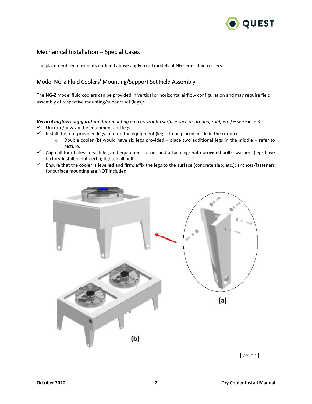

## <span id="page-7-0"></span>Mechanical Installation – Special Cases

The placement requirements outlined above apply to all models of NG series fluid coolers.

### Model NG-Z Fluid Coolers' Mounting/Support Set Field Assembly

The **NG-Z** model fluid coolers can be provided in vertical or horizontal airflow configuration and may require field assembly of respective mounting/support set (legs):

*Vertical airflow configuration (for mounting on a horizontal surface such as ground, roof, etc.)* – see Pic. E.3:

- $\checkmark$  Uncrate/unwrap the equipment and legs.
- $\checkmark$  Install the four provided legs (a) onto the equipment (leg is to be placed inside in the corner)
	- o Double cooler (b) would have six legs provided place two additional legs in the middle refer to picture.
- $\checkmark$  Align all four holes in each leg and equipment corner and attach legs with provided bolts, washers (legs have factory-installed nut-certs); tighten all bolts.
- Ensure that the cooler is levelled and firm; affix the legs to the surface (concrete slab, etc.); anchors/fasteners for surface mounting are NOT included.



*Pic. E.3*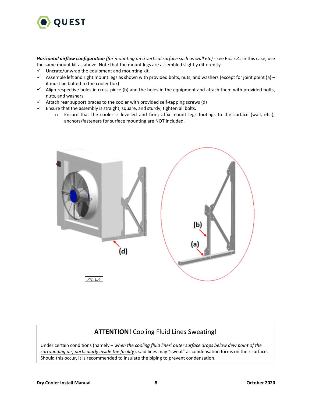

*Horizontal airflow configuration (for mounting on a vertical surface such as wall etc)* - see Pic. E.4. In this case, use the same mount kit as above. Note that the mount legs are assembled slightly differently.

- $\checkmark$  Uncrate/unwrap the equipment and mounting kit.
- Assemble left and right mount legs as shown with provided bolts, nuts, and washers (except for joint point (a) it must be bolted to the cooler box)
- $\checkmark$  Align respective holes in cross-piece (b) and the holes in the equipment and attach them with provided bolts, nuts, and washers.
- $\checkmark$  Attach rear support braces to the cooler with provided self-tapping screws (d)
- $\checkmark$  Ensure that the assembly is straight, square, and sturdy; tighten all bolts.
	- o Ensure that the cooler is levelled and firm; affix mount legs footings to the surface (wall, etc.); anchors/fasteners for surface mounting are NOT included.



# **ATTENTION!** Cooling Fluid Lines Sweating!

Under certain conditions (namely – *when the cooling fluid lines' outer surface drops below dew point of the surrounding air, particularly inside the facility*), said lines may "sweat" as condensation forms on their surface. Should this occur, it is recommended to insulate the piping to prevent condensation.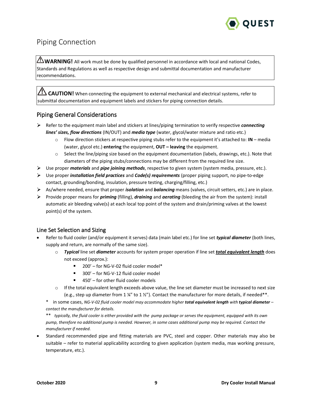

# <span id="page-9-0"></span>Piping Connection

WARNING! All work must be done by qualified personnel in accordance with local and national Codes, Standards and Regulations as well as respective design and submittal documentation and manufacturer recommendations.

**CAUTION!** When connecting the equipment to external mechanical and electrical systems, refer to submittal documentation and equipment labels and stickers for piping connection details.

# <span id="page-9-1"></span>Piping General Considerations

- Refer to the equipment main label and stickers at lines/piping termination to verify respective *connecting lines' sizes, flow directions* (IN/OUT) and *media type* (water, glycol/water mixture and ratio etc.)
	- o Flow direction stickers at respective piping stubs refer to the equipment it's attached to: **IN** media (water, glycol etc.) **entering** the equipment, **OUT – leaving** the equipment.
	- o Select the line/piping size based on the equipment documentation (labels, drawings, etc.). Note that diameters of the piping stubs/connections may be different from the required line size.
- Use proper *materials* and *pipe joining methods*, respective to given system (system media, pressure, etc.).
- Use proper *installation field practices* and *Code(s) requirements* (proper piping support, no pipe-to-edge contact, grounding/bonding, insulation, pressure testing, charging/filling, etc.)
- As/where needed, ensure that proper *isolation* and *balancing* means (valves, circuit setters, etc.) are in place.
- Provide proper means for *priming* (filling), *draining* and *aerating* (bleeding the air from the system): install automatic air bleeding valve(s) at each local top point of the system and drain/priming valves at the lowest point(s) of the system.

### Line Set Selection and Sizing

- Refer to fluid cooler (and/or equipment it serves) data (main label etc.) for line set *typical diameter* (both lines, supply and return, are normally of the same size).
	- o *Typical* line set *diameter* accounts for system proper operation if line set *total equivalent length* does not exceed (approx.):
		- $\blacksquare$ 200' – for NG-V-02 fluid cooler model\*
		- $\blacksquare$ 300' – for NG-V-12 fluid cooler model
		- 450' for other fluid cooler models
	- $\circ$  If the total equivalent length exceeds above value, the line set diameter must be increased to next size (e.g., step up diameter from 1  $\frac{1}{2}$  to 1  $\frac{1}{2}$ ). Contact the manufacturer for more details, if needed\*\*.

\* in some cases, *NG-V-02 fluid cooler model may accommodate higher total equivalent length with typical diameter – contact the manufacturer for details.*

\*\* *typically, the fluid cooler is either provided with the pump package or serves the equipment, equipped with its own pump, therefore no additional pump is needed. However, in some cases additional pump may be required. Contact the manufacturer if needed.*

• Standard recommended pipe and fitting materials are PVC, steel and copper. Other materials may also be suitable – refer to material applicability according to given application (system media, max working pressure, temperature, etc.).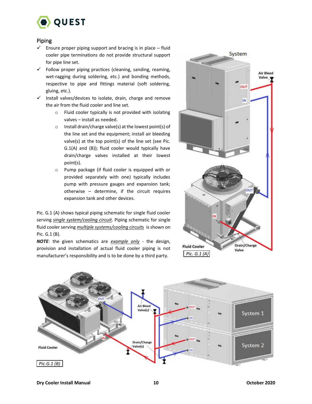

### Piping

- $\checkmark$ Ensure proper piping support and bracing is in place – fluid cooler pipe terminations do not provide structural support for pipe line set.
- $\checkmark$  Follow proper piping practices (cleaning, sanding, reaming, wet-ragging during soldering, etc.) and bonding methods, respective to pipe and fittings material (soft soldering, gluing, etc.).
- $\checkmark$  Install valves/devices to isolate, drain, charge and remove the air from the fluid cooler and line set.
	- o Fluid cooler typically is not provided with isolating valves – install as needed.
	- o Install drain/charge valve(s) at the lowest point(s) of the line set and the equipment; install air bleeding valve(s) at the top point(s) of the line set (see Pic. G.1(A) and (B)); fluid cooler would typically have drain/charge valves installed at their lowest point(s).
	- o Pump package (if fluid cooler is equipped with or provided separately with one) typically includes pump with pressure gauges and expansion tank; otherwise – determine, if the circuit requires expansion tank and other devices.

Pic. G.1 (A) shows typical piping schematic for single fluid cooler serving *single system/cooling circuit*. Piping schematic for single fluid cooler serving *multiple systems/cooling circuits* is shown on Pic. G.1 (B).

*NOTE*: the given schematics are *example only* - the design, provision and installation of actual fluid cooler piping is not manufacturer's responsibility and is to be done by a third party. **Pic. G.1 (A)** 



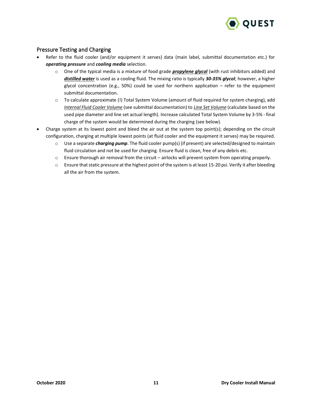

### Pressure Testing and Charging

- Refer to the fluid cooler (and/or equipment it serves) data (main label, submittal documentation etc.) for *operating pressure* and *cooling media* selection.
	- o One of the typical media is a mixture of food grade *propylene glycol* (with rust inhibitors added) and *distilled water* is used as a cooling fluid. The mixing ratio is typically *30-35% glycol*; however, a higher glycol concentration (e.g., 50%) could be used for northern application  $-$  refer to the equipment submittal documentation.
	- o To calculate approximate (!) Total System Volume (amount of fluid required for system charging), add *Internal Fluid Cooler Volume* (see submittal documentation) to *Line Set Volume* (calculate based on the used pipe diameter and line set actual length). Increase calculated Total System Volume by 3-5% - final charge of the system would be determined during the charging (see below).
- Charge system at its lowest point and bleed the air out at the system top point(s); depending on the circuit configuration, charging at multiple lowest points (at fluid cooler and the equipment it serves) may be required.
	- o Use a separate *charging pump*. The fluid cooler pump(s) (if present) are selected/designed to maintain fluid circulation and not be used for charging. Ensure fluid is clean, free of any debris etc.
	- o Ensure thorough air removal from the circuit airlocks will prevent system from operating properly.
	- $\circ$  Ensure that static pressure at the highest point of the system is at least 15-20 psi. Verify it after bleeding all the air from the system.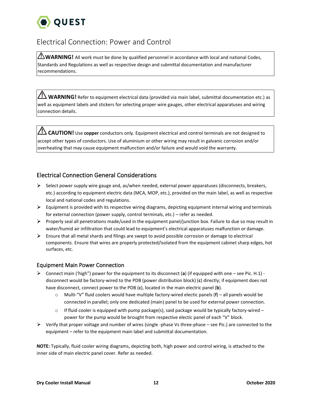

# <span id="page-12-0"></span>Electrical Connection: Power and Control

 $\bigtriangleup$  **WARNING!** All work must be done by qualified personnel in accordance with local and national Codes, Standards and Regulations as well as respective design and submittal documentation and manufacturer recommendations.

**WARNING!** Refer to equipment electrical data (provided via main label, submittal documentation etc.) as well as equipment labels and stickers for selecting proper wire gauges, other electrical apparatuses and wiring connection details.

**CAUTION!** Use **copper** conductors only. Equipment electrical and control terminals are not designed to accept other types of conductors. Use of aluminium or other wiring may result in galvanic corrosion and/or overheating that may cause equipment malfunction and/or failure and would void the warranty.

# <span id="page-12-1"></span>Electrical Connection General Considerations

- $\triangleright$  Select power supply wire gauge and, as/when needed, external power apparatuses (disconnects, breakers, etc.) according to equipment electric data (MCA, MOP, etc.), provided on the main label, as well as respective local and national codes and regulations.
- $\triangleright$  Equipment is provided with its respective wiring diagrams, depicting equipment internal wiring and terminals for external connection (power supply, control terminals, etc.) – refer as needed.
- Properly seal all penetrations made/used in the equipment panel/junction box. Failure to due so may result in water/humid air infiltration that could lead to equipment's electrical apparatuses malfunction or damage.
- $\triangleright$  Ensure that all metal shards and filings are swept to avoid possible corrosion or damage to electrical components. Ensure that wires are properly protected/isolated from the equipment cabinet sharp edges, hot surfaces, etc.

### Equipment Main Power Connection

- Connect main ('high") power for the equipment to its disconnect (**a**) (if equipped with one see Pic. H.1) disconnect would be factory-wired to the PDB (power distribution block) (**c**) directly; if equipment does not have disconnect, connect power to the PDB (**c**), located in the main electric panel (**b**).
	- o Multi-"V" fluid coolers would have multiple factory-wired electic panels (**f**) all panels would be connected in parallel; only one dedicated (main) panel to be used for external power connection.
	- $\circ$  If fluid cooler is equipped with pump package(s), said package would be typically factory-wired power for the pump would be brought from respective electic panel of each "V" block.
- $\triangleright$  Verify that proper voltage and number of wires (single -phase Vs three-phase see Pic.) are connected to the equipment – refer to the equipment main label and submittal documentation.

**NOTE:** Typically, fluid cooler wiring diagrams, depicting both, high power and control wiring, is attached to the inner side of main electric panel cover. Refer as needed.